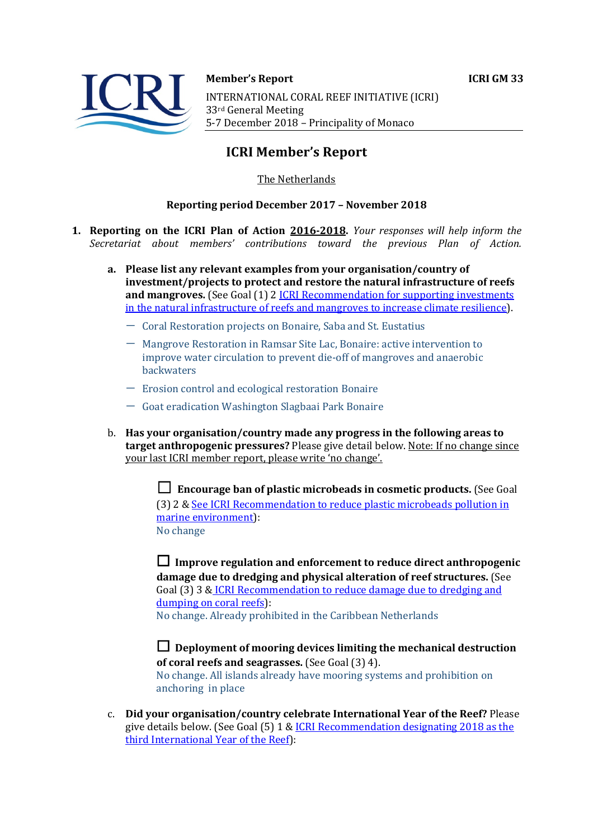



**Member's Report ICRI GM 33** 

INTERNATIONAL CORAL REEF INITIATIVE (ICRI) 33rd General Meeting 5-7 December 2018 - Principality of Monaco

# **ICRI Member's Report**

The Netherlands

## **Reporting period December 2017 - November 2018**

- **1. Reporting on the ICRI Plan of Action 2016-2018.** *Your responses will help inform the Secretariat about members' contributions toward the previous Plan of Action.*
	- a. Please list any relevant examples from your organisation/country of **investment/projects to protect and restore the natural infrastructure of reefs and mangroves.** (See Goal (1) 2 *ICRI Recommendation for supporting investments* in the natural infrastructure of reefs and mangroves to increase climate resilience).
		- Coral Restoration projects on Bonaire, Saba and St. Eustatius
		- $-$  Mangrove Restoration in Ramsar Site Lac, Bonaire: active intervention to improve water circulation to prevent die-off of mangroves and anaerobic backwaters
		- $-$  Erosion control and ecological restoration Bonaire
		- $-$  Goat eradication Washington Slagbaai Park Bonaire
	- b. Has your organisation/country made any progress in the following areas to **target anthropogenic pressures?** Please give detail below. Note: If no change since your last ICRI member report, please write 'no change'.

**□** Encourage ban of plastic microbeads in cosmetic products. (See Goal (3) 2 & See ICRI Recommendation to reduce plastic microbeads pollution in marine environment): No change

□ Improve regulation and enforcement to reduce direct anthropogenic **damage due to dredging and physical alteration of reef structures.** (See Goal (3) 3 & ICRI Recommendation to reduce damage due to dredging and dumping on coral reefs): No change. Already prohibited in the Caribbean Netherlands

 $\Box$  Deployment of mooring devices limiting the mechanical destruction **of coral reefs and seagrasses.** (See Goal (3) 4). No change. All islands already have mooring systems and prohibition on anchoring in place

c. **Did your organisation/country celebrate International Year of the Reef?** Please give details below. (See Goal  $(5)$  1 & ICRI Recommendation designating 2018 as the third International Year of the Reef):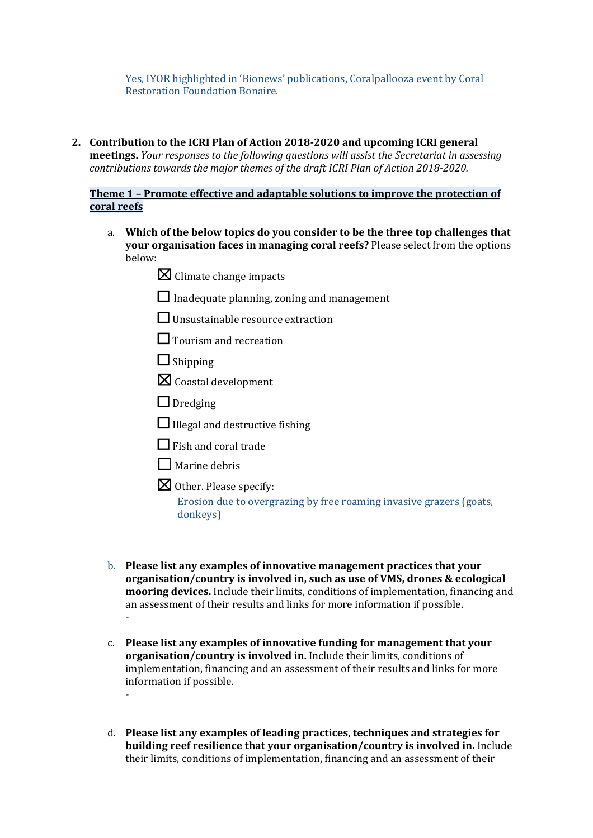Yes, IYOR highlighted in 'Bionews' publications, Coralpallooza event by Coral Restoration Foundation Bonaire.

2. Contribution to the ICRI Plan of Action 2018-2020 and upcoming ICRI general **meetings.** *Your responses to the following questions will assist the Secretariat in assessing contributions towards the major themes of the draft ICRI Plan of Action 2018-2020.* 

## **Theme 1 - Promote effective and adaptable solutions to improve the protection of coral reefs**

- a. Which of the below topics do you consider to be the three top challenges that **your organisation faces in managing coral reefs?** Please select from the options below:
	- $\boxtimes$  Climate change impacts
	- $\Box$  Inadequate planning, zoning and management
	- $\Box$  Unsustainable resource extraction
	- $\Box$  Tourism and recreation
	- ☐ Shipping
	- $\boxtimes$  Coastal development
	- $\Box$  Dredging
	- $\Box$  Illegal and destructive fishing
	- $\Box$  Fish and coral trade
	- $\Box$  Marine debris
	- $\boxtimes$  Other. Please specify: Erosion due to overgrazing by free roaming invasive grazers (goats, donkeys)
- b. **Please list any examples of innovative management practices that your organisation/country is involved in, such as use of VMS, drones & ecological mooring devices.** Include their limits, conditions of implementation, financing and an assessment of their results and links for more information if possible. *-*
- c. Please list any examples of innovative funding for management that your **organisation/country is involved in.** Include their limits, conditions of implementation, financing and an assessment of their results and links for more information if possible. *-*
- d. Please list any examples of leading practices, techniques and strategies for **building reef resilience that your organisation/country is involved in.** Include their limits, conditions of implementation, financing and an assessment of their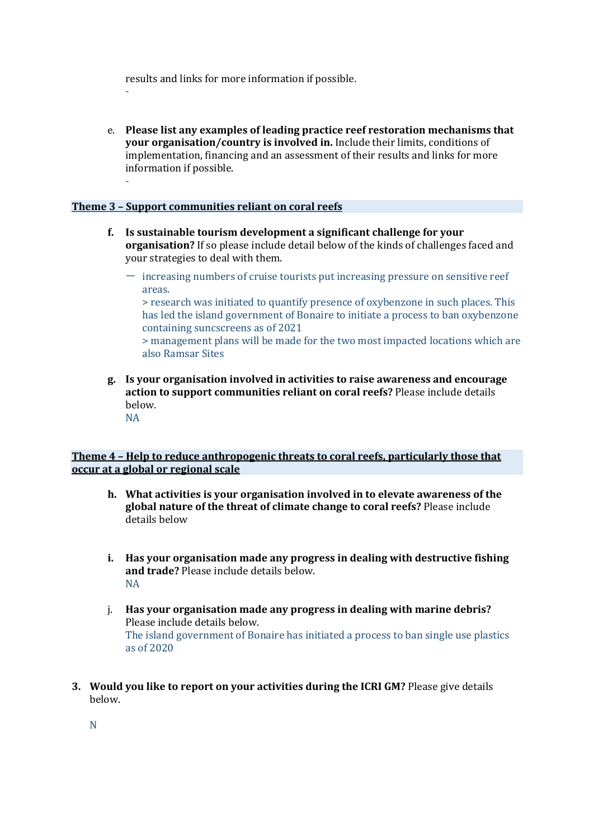results and links for more information if possible.

e. Please list any examples of leading practice reef restoration mechanisms that **your organisation/country is involved in.** Include their limits, conditions of implementation, financing and an assessment of their results and links for more information if possible.

### **Theme 3 - Support communities reliant on coral reefs**

*-*

*-*

- **f.** Is sustainable tourism development a significant challenge for your **organisation?** If so please include detail below of the kinds of challenges faced and your strategies to deal with them.
	- $-$  increasing numbers of cruise tourists put increasing pressure on sensitive reef areas.

> research was initiated to quantify presence of oxybenzone in such places. This has led the island government of Bonaire to initiate a process to ban oxybenzone containing suncscreens as of 2021

 $>$  management plans will be made for the two most impacted locations which are also Ramsar Sites

**g. Is your organisation involved in activities to raise awareness and encourage action to support communities reliant on coral reefs?** Please include details below. NA

### **Theme 4 - Help to reduce anthropogenic threats to coral reefs, particularly those that occur at a global or regional scale**

- **h.** What activities is your organisation involved in to elevate awareness of the **global nature of the threat of climate change to coral reefs?** Please include details helow
- **i.** Has your organisation made any progress in dealing with destructive fishing **and trade?** Please include details below. NA
- j. Has your organisation made any progress in dealing with marine debris? Please include details below. The island government of Bonaire has initiated a process to ban single use plastics as of 2020
- **3.** Would you like to report on your activities during the ICRI GM? Please give details below.